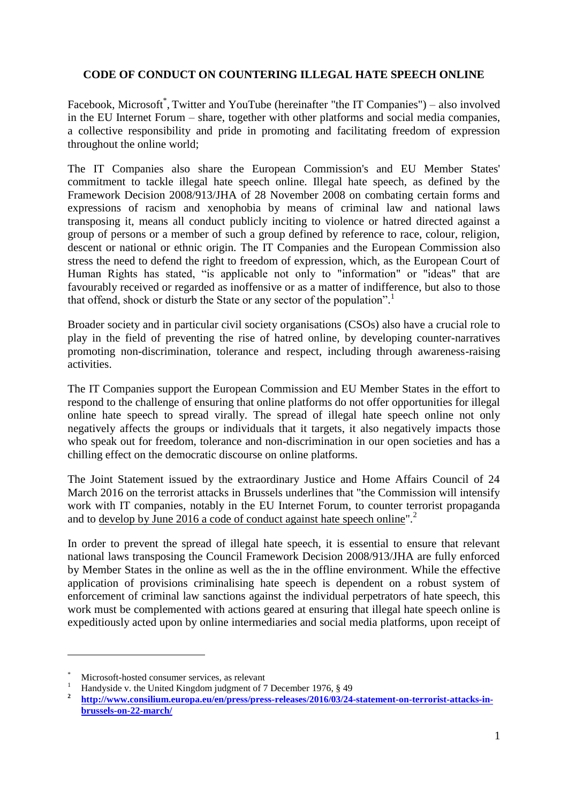## **CODE OF CONDUCT ON COUNTERING ILLEGAL HATE SPEECH ONLINE**

Facebook, Microsoft<sup>\*</sup>, Twitter and YouTube (hereinafter "the IT Companies") – also involved in the EU Internet Forum – share, together with other platforms and social media companies, a collective responsibility and pride in promoting and facilitating freedom of expression throughout the online world;

The IT Companies also share the European Commission's and EU Member States' commitment to tackle illegal hate speech online. Illegal hate speech, as defined by the Framework Decision 2008/913/JHA of 28 November 2008 on combating certain forms and expressions of racism and xenophobia by means of criminal law and national laws transposing it, means all conduct publicly inciting to violence or hatred directed against a group of persons or a member of such a group defined by reference to race, colour, religion, descent or national or ethnic origin. The IT Companies and the European Commission also stress the need to defend the right to freedom of expression, which, as the European Court of Human Rights has stated, "is applicable not only to "information" or "ideas" that are favourably received or regarded as inoffensive or as a matter of indifference, but also to those that offend, shock or disturb the State or any sector of the population".<sup>1</sup>

Broader society and in particular civil society organisations (CSOs) also have a crucial role to play in the field of preventing the rise of hatred online, by developing counter-narratives promoting non-discrimination, tolerance and respect, including through awareness-raising activities.

The IT Companies support the European Commission and EU Member States in the effort to respond to the challenge of ensuring that online platforms do not offer opportunities for illegal online hate speech to spread virally. The spread of illegal hate speech online not only negatively affects the groups or individuals that it targets, it also negatively impacts those who speak out for freedom, tolerance and non-discrimination in our open societies and has a chilling effect on the democratic discourse on online platforms.

The Joint Statement issued by the extraordinary Justice and Home Affairs Council of 24 March 2016 on the terrorist attacks in Brussels underlines that "the Commission will intensify work with IT companies, notably in the EU Internet Forum, to counter terrorist propaganda and to <u>develop by June 2016 a code of conduct against hate speech online</u>".<sup>2</sup>

In order to prevent the spread of illegal hate speech, it is essential to ensure that relevant national laws transposing the Council Framework Decision 2008/913/JHA are fully enforced by Member States in the online as well as the in the offline environment. While the effective application of provisions criminalising hate speech is dependent on a robust system of enforcement of criminal law sanctions against the individual perpetrators of hate speech, this work must be complemented with actions geared at ensuring that illegal hate speech online is expeditiously acted upon by online intermediaries and social media platforms, upon receipt of

 $\overline{a}$ 

Microsoft-hosted consumer services, as relevant

<sup>1</sup> Handyside v. the United Kingdom judgment of 7 December 1976, § 49

**<sup>2</sup> [http://www.consilium.europa.eu/en/press/press-releases/2016/03/24-statement-on-terrorist-attacks-in](http://www.consilium.europa.eu/en/press/press-releases/2016/03/24-statement-on-terrorist-attacks-in-brussels-on-22-march/)[brussels-on-22-march/](http://www.consilium.europa.eu/en/press/press-releases/2016/03/24-statement-on-terrorist-attacks-in-brussels-on-22-march/)**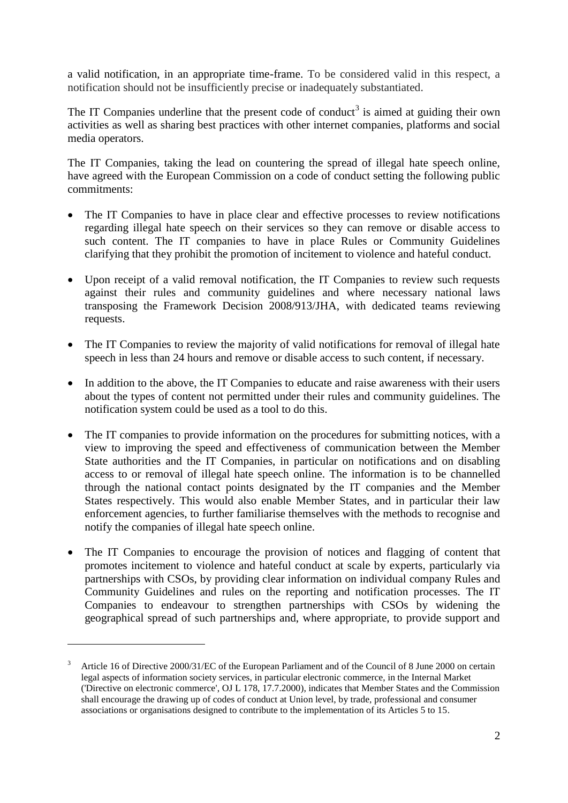a valid notification, in an appropriate time-frame. To be considered valid in this respect, a notification should not be insufficiently precise or inadequately substantiated.

The IT Companies underline that the present code of conduct<sup>3</sup> is aimed at guiding their own activities as well as sharing best practices with other internet companies, platforms and social media operators.

The IT Companies, taking the lead on countering the spread of illegal hate speech online, have agreed with the European Commission on a code of conduct setting the following public commitments:

- The IT Companies to have in place clear and effective processes to review notifications regarding illegal hate speech on their services so they can remove or disable access to such content. The IT companies to have in place Rules or Community Guidelines clarifying that they prohibit the promotion of incitement to violence and hateful conduct.
- Upon receipt of a valid removal notification, the IT Companies to review such requests against their rules and community guidelines and where necessary national laws transposing the Framework Decision 2008/913/JHA, with dedicated teams reviewing requests.
- The IT Companies to review the majority of valid notifications for removal of illegal hate speech in less than 24 hours and remove or disable access to such content, if necessary.
- In addition to the above, the IT Companies to educate and raise awareness with their users about the types of content not permitted under their rules and community guidelines. The notification system could be used as a tool to do this.
- The IT companies to provide information on the procedures for submitting notices, with a view to improving the speed and effectiveness of communication between the Member State authorities and the IT Companies, in particular on notifications and on disabling access to or removal of illegal hate speech online. The information is to be channelled through the national contact points designated by the IT companies and the Member States respectively. This would also enable Member States, and in particular their law enforcement agencies, to further familiarise themselves with the methods to recognise and notify the companies of illegal hate speech online.
- The IT Companies to encourage the provision of notices and flagging of content that promotes incitement to violence and hateful conduct at scale by experts, particularly via partnerships with CSOs, by providing clear information on individual company Rules and Community Guidelines and rules on the reporting and notification processes. The IT Companies to endeavour to strengthen partnerships with CSOs by widening the geographical spread of such partnerships and, where appropriate, to provide support and

 $\overline{a}$ 

<sup>3</sup> Article 16 of Directive 2000/31/EC of the European Parliament and of the Council of 8 June 2000 on certain legal aspects of information society services, in particular electronic commerce, in the Internal Market ('Directive on electronic commerce', OJ L 178, 17.7.2000), indicates that Member States and the Commission shall encourage the drawing up of codes of conduct at Union level, by trade, professional and consumer associations or organisations designed to contribute to the implementation of its Articles 5 to 15.